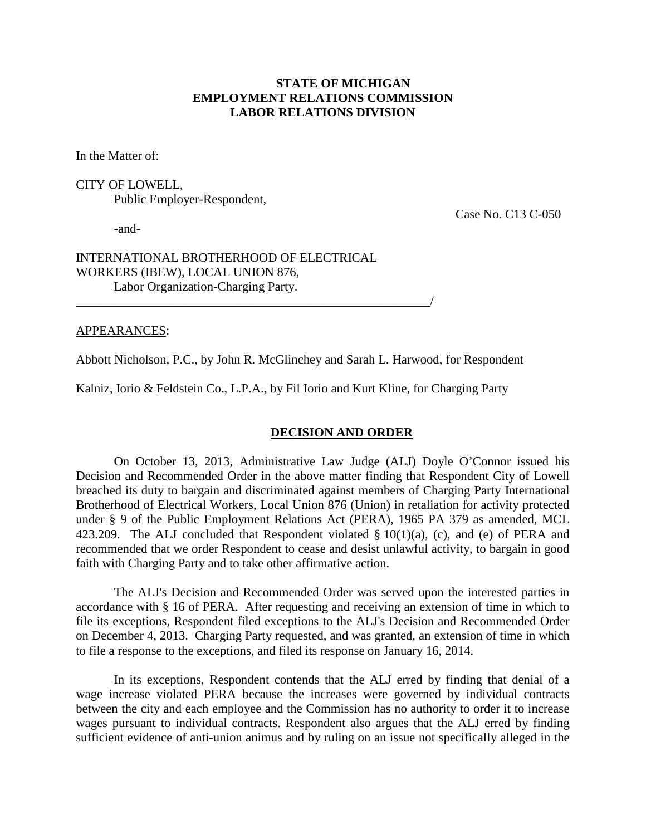## **STATE OF MICHIGAN EMPLOYMENT RELATIONS COMMISSION LABOR RELATIONS DIVISION**

In the Matter of:

CITY OF LOWELL,

Public Employer-Respondent,

-and-

Case No. C13 C-050

## INTERNATIONAL BROTHERHOOD OF ELECTRICAL WORKERS (IBEW), LOCAL UNION 876, Labor Organization-Charging Party.

\_\_\_\_\_\_\_\_\_\_\_\_\_\_\_\_\_\_\_\_\_\_\_\_\_\_\_\_\_\_\_\_\_\_\_\_\_\_\_\_\_\_\_\_\_\_\_\_\_\_\_\_\_\_\_\_/

### APPEARANCES:

Abbott Nicholson, P.C., by John R. McGlinchey and Sarah L. Harwood, for Respondent

Kalniz, Iorio & Feldstein Co., L.P.A., by Fil Iorio and Kurt Kline, for Charging Party

### **DECISION AND ORDER**

On October 13, 2013, Administrative Law Judge (ALJ) Doyle O'Connor issued his Decision and Recommended Order in the above matter finding that Respondent City of Lowell breached its duty to bargain and discriminated against members of Charging Party International Brotherhood of Electrical Workers, Local Union 876 (Union) in retaliation for activity protected under § 9 of the Public Employment Relations Act (PERA), 1965 PA 379 as amended, MCL 423.209. The ALJ concluded that Respondent violated  $\S 10(1)(a)$ , (c), and (e) of PERA and recommended that we order Respondent to cease and desist unlawful activity, to bargain in good faith with Charging Party and to take other affirmative action.

The ALJ's Decision and Recommended Order was served upon the interested parties in accordance with § 16 of PERA. After requesting and receiving an extension of time in which to file its exceptions, Respondent filed exceptions to the ALJ's Decision and Recommended Order on December 4, 2013. Charging Party requested, and was granted, an extension of time in which to file a response to the exceptions, and filed its response on January 16, 2014.

In its exceptions, Respondent contends that the ALJ erred by finding that denial of a wage increase violated PERA because the increases were governed by individual contracts between the city and each employee and the Commission has no authority to order it to increase wages pursuant to individual contracts. Respondent also argues that the ALJ erred by finding sufficient evidence of anti-union animus and by ruling on an issue not specifically alleged in the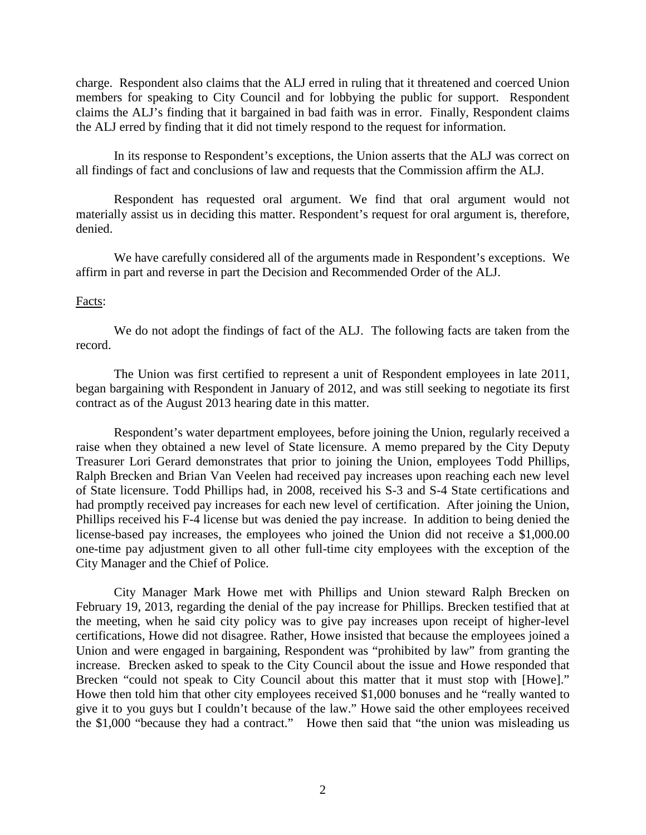charge. Respondent also claims that the ALJ erred in ruling that it threatened and coerced Union members for speaking to City Council and for lobbying the public for support. Respondent claims the ALJ's finding that it bargained in bad faith was in error. Finally, Respondent claims the ALJ erred by finding that it did not timely respond to the request for information.

In its response to Respondent's exceptions, the Union asserts that the ALJ was correct on all findings of fact and conclusions of law and requests that the Commission affirm the ALJ.

Respondent has requested oral argument. We find that oral argument would not materially assist us in deciding this matter. Respondent's request for oral argument is, therefore, denied.

We have carefully considered all of the arguments made in Respondent's exceptions. We affirm in part and reverse in part the Decision and Recommended Order of the ALJ.

### Facts:

We do not adopt the findings of fact of the ALJ. The following facts are taken from the record.

The Union was first certified to represent a unit of Respondent employees in late 2011, began bargaining with Respondent in January of 2012, and was still seeking to negotiate its first contract as of the August 2013 hearing date in this matter.

Respondent's water department employees, before joining the Union, regularly received a raise when they obtained a new level of State licensure. A memo prepared by the City Deputy Treasurer Lori Gerard demonstrates that prior to joining the Union, employees Todd Phillips, Ralph Brecken and Brian Van Veelen had received pay increases upon reaching each new level of State licensure. Todd Phillips had, in 2008, received his S-3 and S-4 State certifications and had promptly received pay increases for each new level of certification. After joining the Union, Phillips received his F-4 license but was denied the pay increase. In addition to being denied the license-based pay increases, the employees who joined the Union did not receive a \$1,000.00 one-time pay adjustment given to all other full-time city employees with the exception of the City Manager and the Chief of Police.

City Manager Mark Howe met with Phillips and Union steward Ralph Brecken on February 19, 2013, regarding the denial of the pay increase for Phillips. Brecken testified that at the meeting, when he said city policy was to give pay increases upon receipt of higher-level certifications, Howe did not disagree. Rather, Howe insisted that because the employees joined a Union and were engaged in bargaining, Respondent was "prohibited by law" from granting the increase. Brecken asked to speak to the City Council about the issue and Howe responded that Brecken "could not speak to City Council about this matter that it must stop with [Howe]." Howe then told him that other city employees received \$1,000 bonuses and he "really wanted to give it to you guys but I couldn't because of the law." Howe said the other employees received the \$1,000 "because they had a contract." Howe then said that "the union was misleading us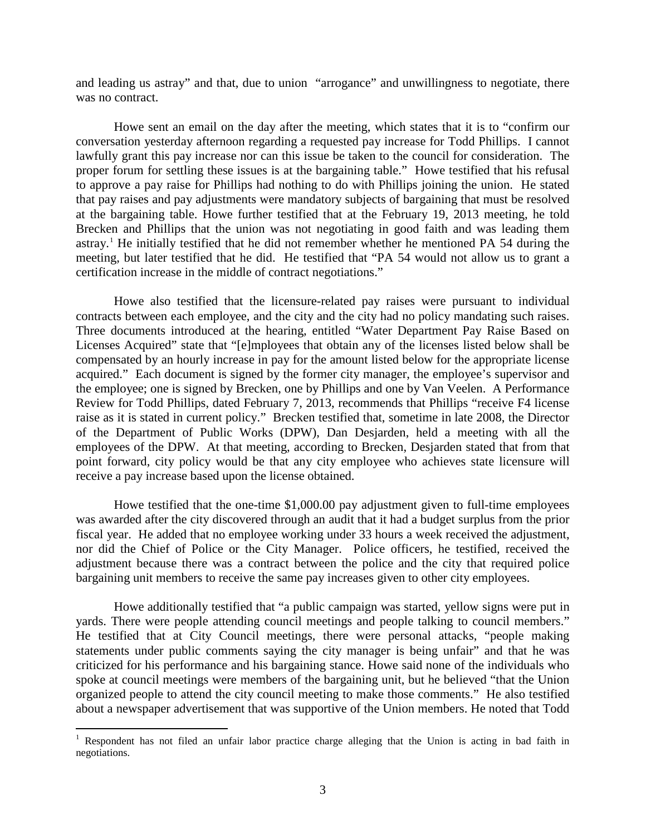and leading us astray" and that, due to union "arrogance" and unwillingness to negotiate, there was no contract.

Howe sent an email on the day after the meeting, which states that it is to "confirm our conversation yesterday afternoon regarding a requested pay increase for Todd Phillips. I cannot lawfully grant this pay increase nor can this issue be taken to the council for consideration. The proper forum for settling these issues is at the bargaining table." Howe testified that his refusal to approve a pay raise for Phillips had nothing to do with Phillips joining the union. He stated that pay raises and pay adjustments were mandatory subjects of bargaining that must be resolved at the bargaining table. Howe further testified that at the February 19, 2013 meeting, he told Brecken and Phillips that the union was not negotiating in good faith and was leading them astray.<sup>[1](#page-2-0)</sup> He initially testified that he did not remember whether he mentioned PA 54 during the meeting, but later testified that he did. He testified that "PA 54 would not allow us to grant a certification increase in the middle of contract negotiations."

Howe also testified that the licensure-related pay raises were pursuant to individual contracts between each employee, and the city and the city had no policy mandating such raises. Three documents introduced at the hearing, entitled "Water Department Pay Raise Based on Licenses Acquired" state that "[e]mployees that obtain any of the licenses listed below shall be compensated by an hourly increase in pay for the amount listed below for the appropriate license acquired." Each document is signed by the former city manager, the employee's supervisor and the employee; one is signed by Brecken, one by Phillips and one by Van Veelen. A Performance Review for Todd Phillips, dated February 7, 2013, recommends that Phillips "receive F4 license raise as it is stated in current policy." Brecken testified that, sometime in late 2008, the Director of the Department of Public Works (DPW), Dan Desjarden, held a meeting with all the employees of the DPW. At that meeting, according to Brecken, Desjarden stated that from that point forward, city policy would be that any city employee who achieves state licensure will receive a pay increase based upon the license obtained.

Howe testified that the one-time \$1,000.00 pay adjustment given to full-time employees was awarded after the city discovered through an audit that it had a budget surplus from the prior fiscal year. He added that no employee working under 33 hours a week received the adjustment, nor did the Chief of Police or the City Manager. Police officers, he testified, received the adjustment because there was a contract between the police and the city that required police bargaining unit members to receive the same pay increases given to other city employees.

Howe additionally testified that "a public campaign was started, yellow signs were put in yards. There were people attending council meetings and people talking to council members." He testified that at City Council meetings, there were personal attacks, "people making statements under public comments saying the city manager is being unfair" and that he was criticized for his performance and his bargaining stance. Howe said none of the individuals who spoke at council meetings were members of the bargaining unit, but he believed "that the Union organized people to attend the city council meeting to make those comments." He also testified about a newspaper advertisement that was supportive of the Union members. He noted that Todd

 $\overline{a}$ 

<span id="page-2-0"></span><sup>&</sup>lt;sup>1</sup> Respondent has not filed an unfair labor practice charge alleging that the Union is acting in bad faith in negotiations.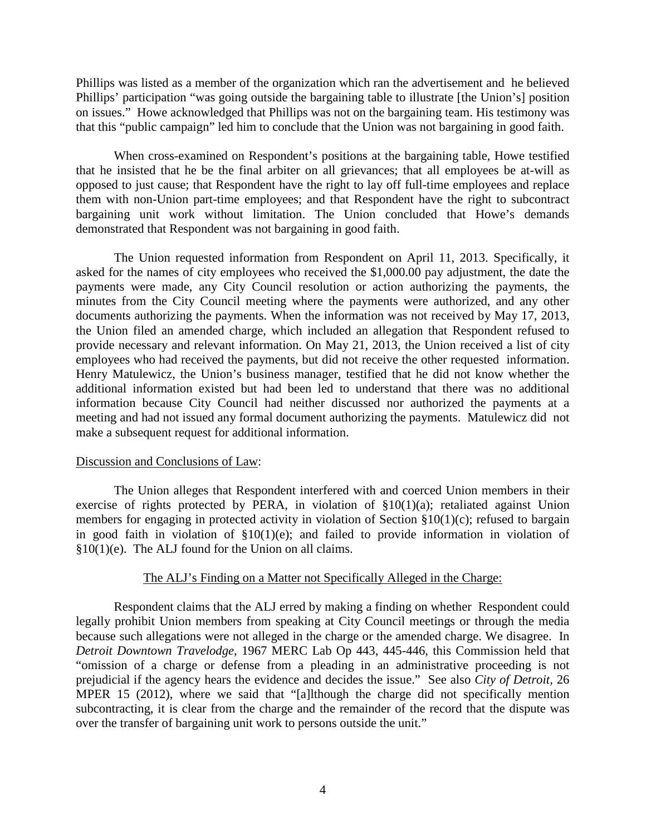Phillips was listed as a member of the organization which ran the advertisement and he believed Phillips' participation "was going outside the bargaining table to illustrate [the Union's] position on issues." Howe acknowledged that Phillips was not on the bargaining team. His testimony was that this "public campaign" led him to conclude that the Union was not bargaining in good faith.

When cross-examined on Respondent's positions at the bargaining table, Howe testified that he insisted that he be the final arbiter on all grievances; that all employees be at-will as opposed to just cause; that Respondent have the right to lay off full-time employees and replace them with non-Union part-time employees; and that Respondent have the right to subcontract bargaining unit work without limitation. The Union concluded that Howe's demands demonstrated that Respondent was not bargaining in good faith.

The Union requested information from Respondent on April 11, 2013. Specifically, it asked for the names of city employees who received the \$1,000.00 pay adjustment, the date the payments were made, any City Council resolution or action authorizing the payments, the minutes from the City Council meeting where the payments were authorized, and any other documents authorizing the payments. When the information was not received by May 17, 2013, the Union filed an amended charge, which included an allegation that Respondent refused to provide necessary and relevant information. On May 21, 2013, the Union received a list of city employees who had received the payments, but did not receive the other requested information. Henry Matulewicz, the Union's business manager, testified that he did not know whether the additional information existed but had been led to understand that there was no additional information because City Council had neither discussed nor authorized the payments at a meeting and had not issued any formal document authorizing the payments. Matulewicz did not make a subsequent request for additional information.

### Discussion and Conclusions of Law:

The Union alleges that Respondent interfered with and coerced Union members in their exercise of rights protected by PERA, in violation of  $\S10(1)(a)$ ; retaliated against Union members for engaging in protected activity in violation of Section §10(1)(c); refused to bargain in good faith in violation of §10(1)(e); and failed to provide information in violation of §10(1)(e). The ALJ found for the Union on all claims.

### The ALJ's Finding on a Matter not Specifically Alleged in the Charge:

Respondent claims that the ALJ erred by making a finding on whether Respondent could legally prohibit Union members from speaking at City Council meetings or through the media because such allegations were not alleged in the charge or the amended charge. We disagree. In *Detroit Downtown Travelodge*, 1967 MERC Lab Op 443, 445-446, this Commission held that "omission of a charge or defense from a pleading in an administrative proceeding is not prejudicial if the agency hears the evidence and decides the issue." See also *City of Detroit,* 26 MPER 15 (2012), where we said that "[a]lthough the charge did not specifically mention subcontracting, it is clear from the charge and the remainder of the record that the dispute was over the transfer of bargaining unit work to persons outside the unit."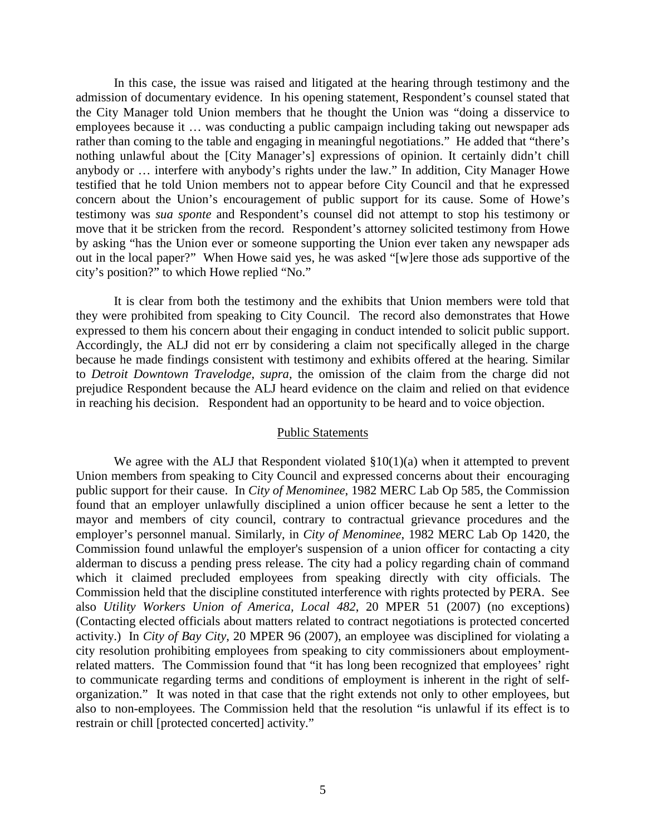In this case, the issue was raised and litigated at the hearing through testimony and the admission of documentary evidence. In his opening statement, Respondent's counsel stated that the City Manager told Union members that he thought the Union was "doing a disservice to employees because it … was conducting a public campaign including taking out newspaper ads rather than coming to the table and engaging in meaningful negotiations." He added that "there's nothing unlawful about the [City Manager's] expressions of opinion. It certainly didn't chill anybody or … interfere with anybody's rights under the law." In addition, City Manager Howe testified that he told Union members not to appear before City Council and that he expressed concern about the Union's encouragement of public support for its cause. Some of Howe's testimony was *sua sponte* and Respondent's counsel did not attempt to stop his testimony or move that it be stricken from the record. Respondent's attorney solicited testimony from Howe by asking "has the Union ever or someone supporting the Union ever taken any newspaper ads out in the local paper?" When Howe said yes, he was asked "[w]ere those ads supportive of the city's position?" to which Howe replied "No."

It is clear from both the testimony and the exhibits that Union members were told that they were prohibited from speaking to City Council. The record also demonstrates that Howe expressed to them his concern about their engaging in conduct intended to solicit public support. Accordingly, the ALJ did not err by considering a claim not specifically alleged in the charge because he made findings consistent with testimony and exhibits offered at the hearing. Similar to *Detroit Downtown Travelodge*, *supra,* the omission of the claim from the charge did not prejudice Respondent because the ALJ heard evidence on the claim and relied on that evidence in reaching his decision. Respondent had an opportunity to be heard and to voice objection.

#### Public Statements

We agree with the ALJ that Respondent violated  $\S 10(1)(a)$  when it attempted to prevent Union members from speaking to City Council and expressed concerns about their encouraging public support for their cause. In *City of Menominee*, 1982 MERC Lab Op 585, the Commission found that an employer unlawfully disciplined a union officer because he sent a letter to the mayor and members of city council, contrary to contractual grievance procedures and the employer's personnel manual. Similarly, in *City of Menominee*, 1982 MERC Lab Op 1420, the Commission found unlawful the employer's suspension of a union officer for contacting a city alderman to discuss a pending press release. The city had a policy regarding chain of command which it claimed precluded employees from speaking directly with city officials. The Commission held that the discipline constituted interference with rights protected by PERA. See also *Utility Workers Union of America, Local 482*, 20 MPER 51 (2007) (no exceptions) (Contacting elected officials about matters related to contract negotiations is protected concerted activity.) In *City of Bay City*, 20 MPER 96 (2007), an employee was disciplined for violating a city resolution prohibiting employees from speaking to city commissioners about employmentrelated matters. The Commission found that "it has long been recognized that employees' right to communicate regarding terms and conditions of employment is inherent in the right of selforganization." It was noted in that case that the right extends not only to other employees, but also to non-employees. The Commission held that the resolution "is unlawful if its effect is to restrain or chill [protected concerted] activity."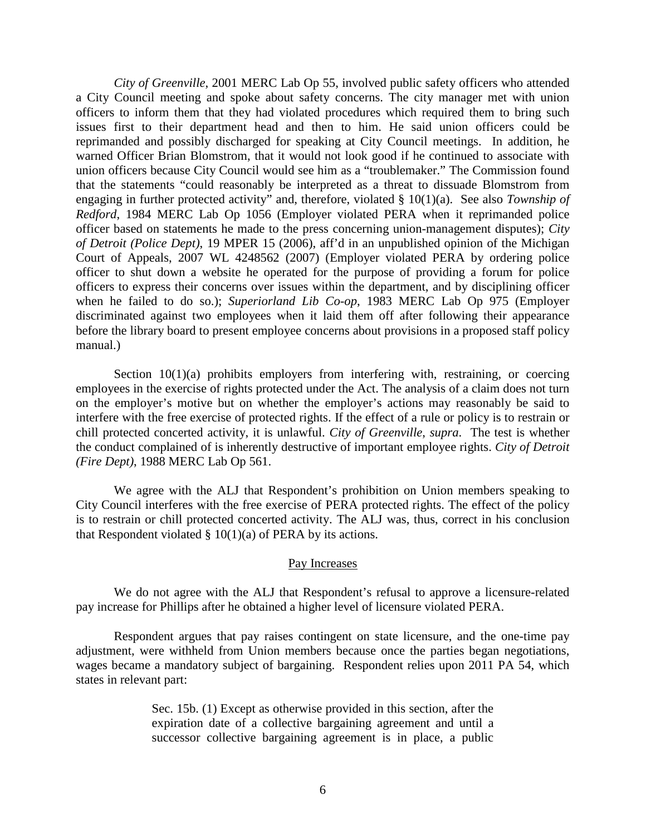*City of Greenville*, 2001 MERC Lab Op 55, involved public safety officers who attended a City Council meeting and spoke about safety concerns. The city manager met with union officers to inform them that they had violated procedures which required them to bring such issues first to their department head and then to him. He said union officers could be reprimanded and possibly discharged for speaking at City Council meetings. In addition, he warned Officer Brian Blomstrom, that it would not look good if he continued to associate with union officers because City Council would see him as a "troublemaker." The Commission found that the statements "could reasonably be interpreted as a threat to dissuade Blomstrom from engaging in further protected activity" and, therefore, violated § 10(1)(a). See also *Township of Redford*, 1984 MERC Lab Op 1056 (Employer violated PERA when it reprimanded police officer based on statements he made to the press concerning union-management disputes); *City of Detroit (Police Dept)*, 19 MPER 15 (2006), aff'd in an unpublished opinion of the Michigan Court of Appeals, 2007 WL 4248562 (2007) (Employer violated PERA by ordering police officer to shut down a website he operated for the purpose of providing a forum for police officers to express their concerns over issues within the department, and by disciplining officer when he failed to do so.); *Superiorland Lib Co-op*, 1983 MERC Lab Op 975 (Employer discriminated against two employees when it laid them off after following their appearance before the library board to present employee concerns about provisions in a proposed staff policy manual.)

Section 10(1)(a) prohibits employers from interfering with, restraining, or coercing employees in the exercise of rights protected under the Act. The analysis of a claim does not turn on the employer's motive but on whether the employer's actions may reasonably be said to interfere with the free exercise of protected rights. If the effect of a rule or policy is to restrain or chill protected concerted activity, it is unlawful. *City of Greenville*, *supra*. The test is whether the conduct complained of is inherently destructive of important employee rights. *City of Detroit (Fire Dept)*, 1988 MERC Lab Op 561.

We agree with the ALJ that Respondent's prohibition on Union members speaking to City Council interferes with the free exercise of PERA protected rights. The effect of the policy is to restrain or chill protected concerted activity. The ALJ was, thus, correct in his conclusion that Respondent violated  $\S$  10(1)(a) of PERA by its actions.

### Pay Increases

We do not agree with the ALJ that Respondent's refusal to approve a licensure-related pay increase for Phillips after he obtained a higher level of licensure violated PERA.

Respondent argues that pay raises contingent on state licensure, and the one-time pay adjustment, were withheld from Union members because once the parties began negotiations, wages became a mandatory subject of bargaining. Respondent relies upon 2011 PA 54, which states in relevant part:

> Sec. 15b. (1) Except as otherwise provided in this section, after the expiration date of a collective bargaining agreement and until a successor collective bargaining agreement is in place, a public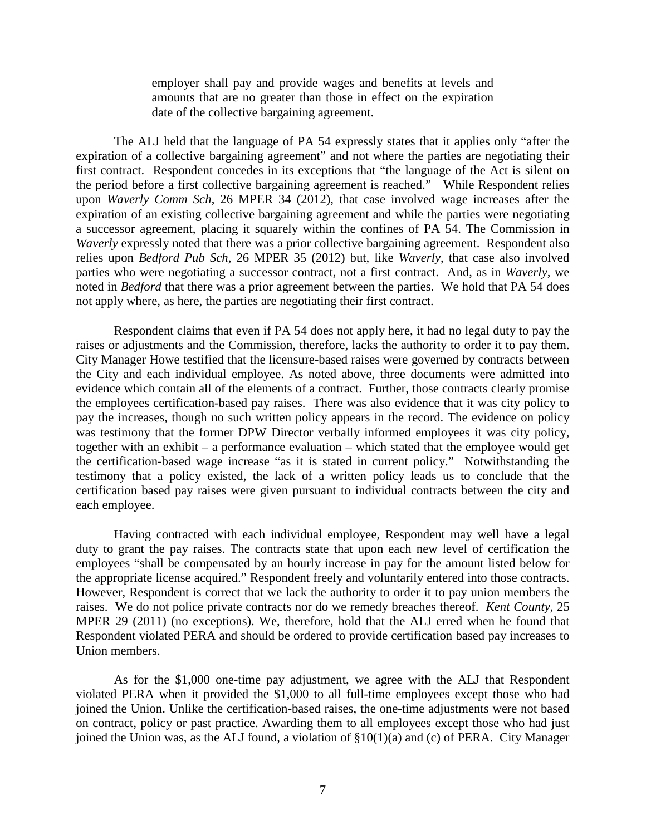employer shall pay and provide wages and benefits at levels and amounts that are no greater than those in effect on the expiration date of the collective bargaining agreement.

The ALJ held that the language of PA 54 expressly states that it applies only "after the expiration of a collective bargaining agreement" and not where the parties are negotiating their first contract. Respondent concedes in its exceptions that "the language of the Act is silent on the period before a first collective bargaining agreement is reached." While Respondent relies upon *Waverly Comm Sch*, 26 MPER 34 (2012), that case involved wage increases after the expiration of an existing collective bargaining agreement and while the parties were negotiating a successor agreement, placing it squarely within the confines of PA 54. The Commission in *Waverly* expressly noted that there was a prior collective bargaining agreement. Respondent also relies upon *Bedford Pub Sch*, 26 MPER 35 (2012) but, like *Waverly*, that case also involved parties who were negotiating a successor contract, not a first contract. And, as in *Waverly*, we noted in *Bedford* that there was a prior agreement between the parties. We hold that PA 54 does not apply where, as here, the parties are negotiating their first contract.

Respondent claims that even if PA 54 does not apply here, it had no legal duty to pay the raises or adjustments and the Commission, therefore, lacks the authority to order it to pay them. City Manager Howe testified that the licensure-based raises were governed by contracts between the City and each individual employee. As noted above, three documents were admitted into evidence which contain all of the elements of a contract. Further, those contracts clearly promise the employees certification-based pay raises. There was also evidence that it was city policy to pay the increases, though no such written policy appears in the record. The evidence on policy was testimony that the former DPW Director verbally informed employees it was city policy, together with an exhibit – a performance evaluation – which stated that the employee would get the certification-based wage increase "as it is stated in current policy." Notwithstanding the testimony that a policy existed, the lack of a written policy leads us to conclude that the certification based pay raises were given pursuant to individual contracts between the city and each employee.

Having contracted with each individual employee, Respondent may well have a legal duty to grant the pay raises. The contracts state that upon each new level of certification the employees "shall be compensated by an hourly increase in pay for the amount listed below for the appropriate license acquired." Respondent freely and voluntarily entered into those contracts. However, Respondent is correct that we lack the authority to order it to pay union members the raises. We do not police private contracts nor do we remedy breaches thereof. *Kent County*, 25 MPER 29 (2011) (no exceptions). We, therefore, hold that the ALJ erred when he found that Respondent violated PERA and should be ordered to provide certification based pay increases to Union members.

As for the \$1,000 one-time pay adjustment, we agree with the ALJ that Respondent violated PERA when it provided the \$1,000 to all full-time employees except those who had joined the Union. Unlike the certification-based raises, the one-time adjustments were not based on contract, policy or past practice. Awarding them to all employees except those who had just joined the Union was, as the ALJ found, a violation of §10(1)(a) and (c) of PERA. City Manager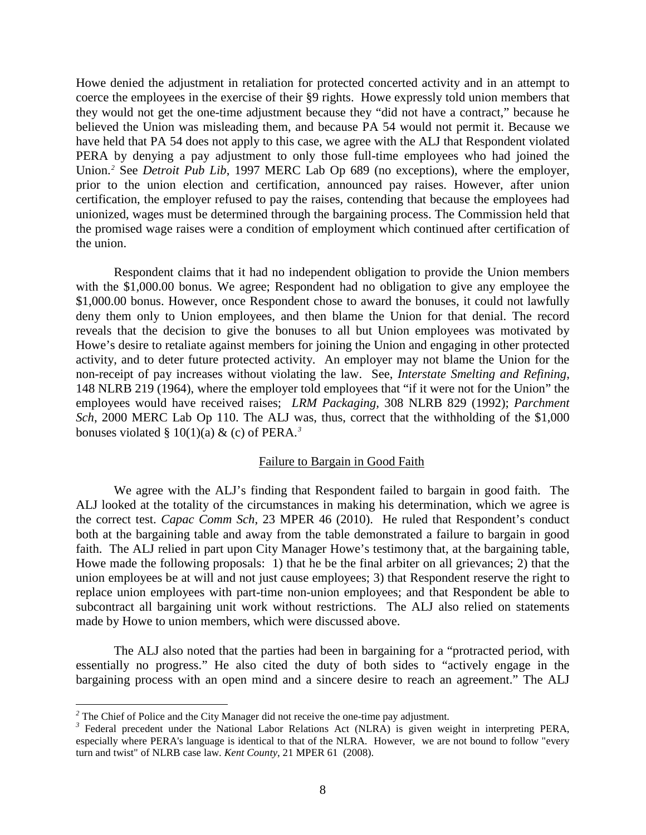Howe denied the adjustment in retaliation for protected concerted activity and in an attempt to coerce the employees in the exercise of their §9 rights. Howe expressly told union members that they would not get the one-time adjustment because they "did not have a contract," because he believed the Union was misleading them, and because PA 54 would not permit it. Because we have held that PA 54 does not apply to this case, we agree with the ALJ that Respondent violated PERA by denying a pay adjustment to only those full-time employees who had joined the Union.*[2](#page-7-0)* See *Detroit Pub Lib*, 1997 MERC Lab Op 689 (no exceptions), where the employer, prior to the union election and certification, announced pay raises. However, after union certification, the employer refused to pay the raises, contending that because the employees had unionized, wages must be determined through the bargaining process. The Commission held that the promised wage raises were a condition of employment which continued after certification of the union.

Respondent claims that it had no independent obligation to provide the Union members with the \$1,000.00 bonus. We agree; Respondent had no obligation to give any employee the \$1,000.00 bonus. However, once Respondent chose to award the bonuses, it could not lawfully deny them only to Union employees, and then blame the Union for that denial. The record reveals that the decision to give the bonuses to all but Union employees was motivated by Howe's desire to retaliate against members for joining the Union and engaging in other protected activity, and to deter future protected activity. An employer may not blame the Union for the non-receipt of pay increases without violating the law. See, *Interstate Smelting and Refining*, 148 NLRB 219 (1964), where the employer told employees that "if it were not for the Union" the employees would have received raises; *LRM Packaging,* 308 NLRB 829 (1992); *Parchment Sch*, 2000 MERC Lab Op 110. The ALJ was, thus, correct that the withholding of the \$1,000 bonuses violated §  $10(1)(a)$  & (c) of PERA.<sup>[3](#page-7-1)</sup>

### Failure to Bargain in Good Faith

We agree with the ALJ's finding that Respondent failed to bargain in good faith. The ALJ looked at the totality of the circumstances in making his determination, which we agree is the correct test. *Capac Comm Sch*, 23 MPER 46 (2010). He ruled that Respondent's conduct both at the bargaining table and away from the table demonstrated a failure to bargain in good faith. The ALJ relied in part upon City Manager Howe's testimony that, at the bargaining table, Howe made the following proposals: 1) that he be the final arbiter on all grievances; 2) that the union employees be at will and not just cause employees; 3) that Respondent reserve the right to replace union employees with part-time non-union employees; and that Respondent be able to subcontract all bargaining unit work without restrictions. The ALJ also relied on statements made by Howe to union members, which were discussed above.

The ALJ also noted that the parties had been in bargaining for a "protracted period, with essentially no progress." He also cited the duty of both sides to "actively engage in the bargaining process with an open mind and a sincere desire to reach an agreement." The ALJ

<span id="page-7-0"></span> $2$  The Chief of Police and the City Manager did not receive the one-time pay adjustment.

<span id="page-7-1"></span><sup>&</sup>lt;sup>3</sup> Federal precedent under the National Labor Relations Act (NLRA) is given weight in interpreting PERA, especially where PERA's language is identical to that of the NLRA. However, we are not bound to follow "every turn and twist" of NLRB case law. *Kent County*, 21 MPER 61 (2008).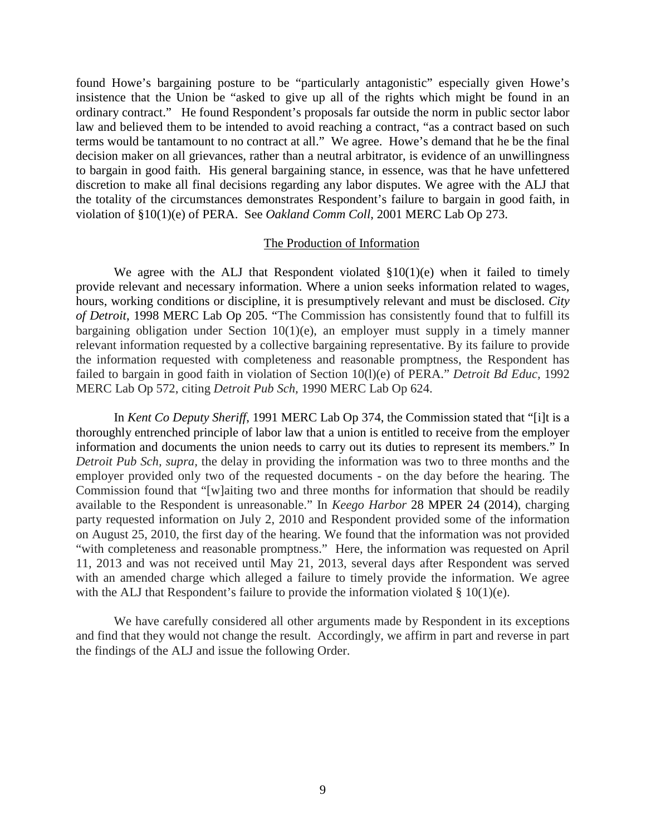found Howe's bargaining posture to be "particularly antagonistic" especially given Howe's insistence that the Union be "asked to give up all of the rights which might be found in an ordinary contract." He found Respondent's proposals far outside the norm in public sector labor law and believed them to be intended to avoid reaching a contract, "as a contract based on such terms would be tantamount to no contract at all." We agree. Howe's demand that he be the final decision maker on all grievances, rather than a neutral arbitrator, is evidence of an unwillingness to bargain in good faith. His general bargaining stance, in essence, was that he have unfettered discretion to make all final decisions regarding any labor disputes. We agree with the ALJ that the totality of the circumstances demonstrates Respondent's failure to bargain in good faith, in violation of §10(1)(e) of PERA. See *Oakland Comm Coll*, 2001 MERC Lab Op 273.

### The Production of Information

We agree with the ALJ that Respondent violated  $\S10(1)(e)$  when it failed to timely provide relevant and necessary information. Where a union seeks information related to wages, hours, working conditions or discipline, it is presumptively relevant and must be disclosed. *City of Detroit*, 1998 MERC Lab Op 205. "The Commission has consistently found that to fulfill its bargaining obligation under Section 10(1)(e), an employer must supply in a timely manner relevant information requested by a collective bargaining representative. By its failure to provide the information requested with completeness and reasonable promptness, the Respondent has failed to bargain in good faith in violation of Section 10(l)(e) of PERA." *Detroit Bd Educ,* 1992 MERC Lab Op 572, citing *Detroit Pub Sch,* 1990 MERC Lab Op 624.

In *Kent Co Deputy Sheriff*, 1991 MERC Lab Op 374, the Commission stated that "[i]t is a thoroughly entrenched principle of labor law that a union is entitled to receive from the employer information and documents the union needs to carry out its duties to represent its members." In *Detroit Pub Sch, supra,* the delay in providing the information was two to three months and the employer provided only two of the requested documents - on the day before the hearing. The Commission found that "[w]aiting two and three months for information that should be readily available to the Respondent is unreasonable." In *Keego Harbor* 28 MPER 24 (2014), charging party requested information on July 2, 2010 and Respondent provided some of the information on August 25, 2010, the first day of the hearing. We found that the information was not provided "with completeness and reasonable promptness." Here, the information was requested on April 11, 2013 and was not received until May 21, 2013, several days after Respondent was served with an amended charge which alleged a failure to timely provide the information. We agree with the ALJ that Respondent's failure to provide the information violated  $\S$  10(1)(e).

We have carefully considered all other arguments made by Respondent in its exceptions and find that they would not change the result. Accordingly, we affirm in part and reverse in part the findings of the ALJ and issue the following Order.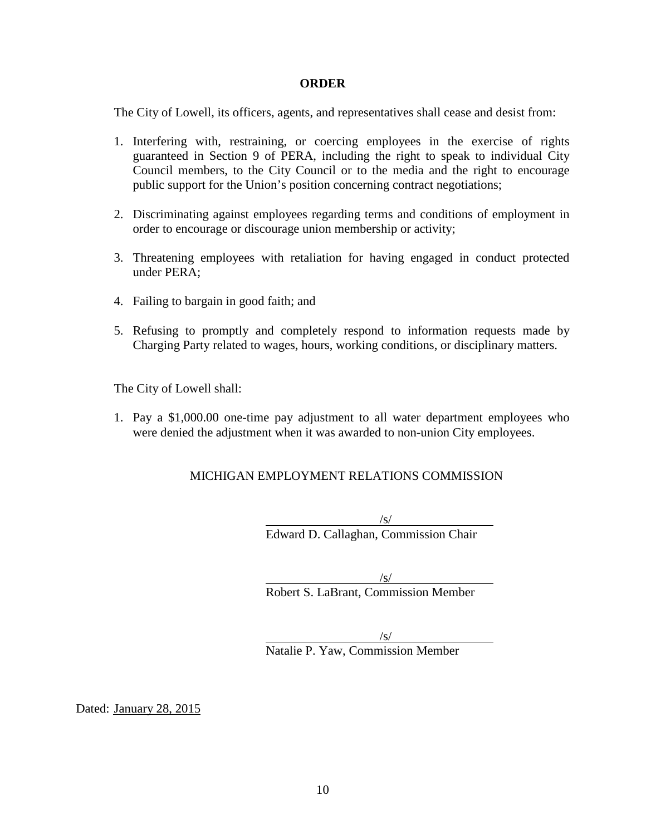### **ORDER**

The City of Lowell, its officers, agents, and representatives shall cease and desist from:

- 1. Interfering with, restraining, or coercing employees in the exercise of rights guaranteed in Section 9 of PERA, including the right to speak to individual City Council members, to the City Council or to the media and the right to encourage public support for the Union's position concerning contract negotiations;
- 2. Discriminating against employees regarding terms and conditions of employment in order to encourage or discourage union membership or activity;
- 3. Threatening employees with retaliation for having engaged in conduct protected under PERA;
- 4. Failing to bargain in good faith; and
- 5. Refusing to promptly and completely respond to information requests made by Charging Party related to wages, hours, working conditions, or disciplinary matters.

The City of Lowell shall:

1. Pay a \$1,000.00 one-time pay adjustment to all water department employees who were denied the adjustment when it was awarded to non-union City employees.

## MICHIGAN EMPLOYMENT RELATIONS COMMISSION

/s/ Edward D. Callaghan, Commission Chair

/s/ Robert S. LaBrant, Commission Member

 $\sqrt{s/}$ Natalie P. Yaw, Commission Member

Dated: January 28, 2015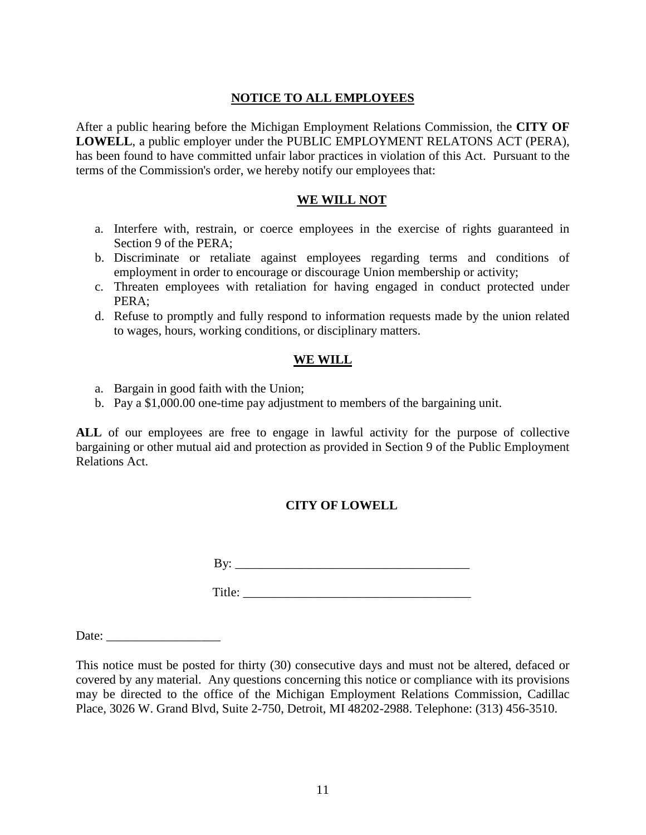## **NOTICE TO ALL EMPLOYEES**

After a public hearing before the Michigan Employment Relations Commission, the **CITY OF LOWELL**, a public employer under the PUBLIC EMPLOYMENT RELATONS ACT (PERA), has been found to have committed unfair labor practices in violation of this Act. Pursuant to the terms of the Commission's order, we hereby notify our employees that:

## **WE WILL NOT**

- a. Interfere with, restrain, or coerce employees in the exercise of rights guaranteed in Section 9 of the PERA;
- b. Discriminate or retaliate against employees regarding terms and conditions of employment in order to encourage or discourage Union membership or activity;
- c. Threaten employees with retaliation for having engaged in conduct protected under PERA;
- d. Refuse to promptly and fully respond to information requests made by the union related to wages, hours, working conditions, or disciplinary matters.

## **WE WILL**

- a. Bargain in good faith with the Union;
- b. Pay a \$1,000.00 one-time pay adjustment to members of the bargaining unit.

**ALL** of our employees are free to engage in lawful activity for the purpose of collective bargaining or other mutual aid and protection as provided in Section 9 of the Public Employment Relations Act.

## **CITY OF LOWELL**

 $\mathbf{By:}$ 

Title:

Date:

This notice must be posted for thirty (30) consecutive days and must not be altered, defaced or covered by any material. Any questions concerning this notice or compliance with its provisions may be directed to the office of the Michigan Employment Relations Commission, Cadillac Place, 3026 W. Grand Blvd, Suite 2-750, Detroit, MI 48202-2988. Telephone: (313) 456-3510.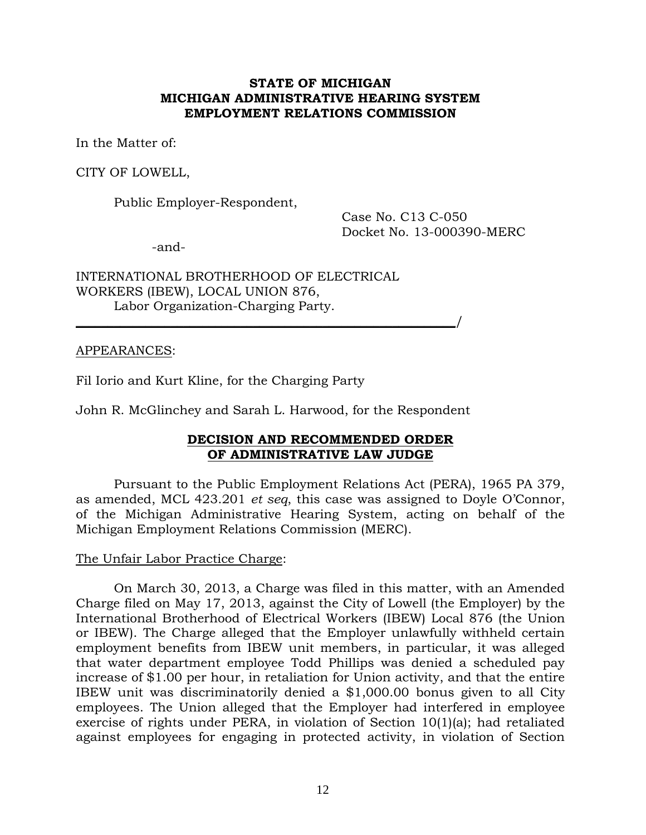## **STATE OF MICHIGAN MICHIGAN ADMINISTRATIVE HEARING SYSTEM EMPLOYMENT RELATIONS COMMISSION**

In the Matter of:

CITY OF LOWELL,

Public Employer-Respondent,

Case No. C13 C-050 Docket No. 13-000390-MERC

-and-

INTERNATIONAL BROTHERHOOD OF ELECTRICAL WORKERS (IBEW), LOCAL UNION 876, Labor Organization-Charging Party.

### APPEARANCES:

Fil Iorio and Kurt Kline, for the Charging Party

John R. McGlinchey and Sarah L. Harwood, for the Respondent

 $\overline{\phantom{a}}$ 

## **DECISION AND RECOMMENDED ORDER OF ADMINISTRATIVE LAW JUDGE**

Pursuant to the Public Employment Relations Act (PERA), 1965 PA 379, as amended, MCL 423.201 *et seq*, this case was assigned to Doyle O'Connor, of the Michigan Administrative Hearing System, acting on behalf of the Michigan Employment Relations Commission (MERC).

### The Unfair Labor Practice Charge:

On March 30, 2013, a Charge was filed in this matter, with an Amended Charge filed on May 17, 2013, against the City of Lowell (the Employer) by the International Brotherhood of Electrical Workers (IBEW) Local 876 (the Union or IBEW). The Charge alleged that the Employer unlawfully withheld certain employment benefits from IBEW unit members, in particular, it was alleged that water department employee Todd Phillips was denied a scheduled pay increase of \$1.00 per hour, in retaliation for Union activity, and that the entire IBEW unit was discriminatorily denied a \$1,000.00 bonus given to all City employees. The Union alleged that the Employer had interfered in employee exercise of rights under PERA, in violation of Section 10(1)(a); had retaliated against employees for engaging in protected activity, in violation of Section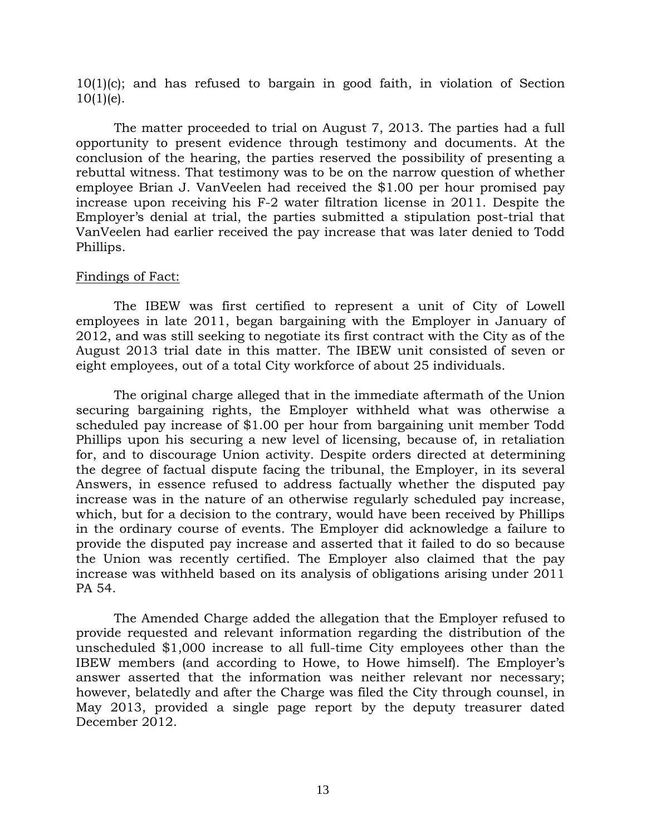10(1)(c); and has refused to bargain in good faith, in violation of Section  $10(1)(e)$ .

The matter proceeded to trial on August 7, 2013. The parties had a full opportunity to present evidence through testimony and documents. At the conclusion of the hearing, the parties reserved the possibility of presenting a rebuttal witness. That testimony was to be on the narrow question of whether employee Brian J. VanVeelen had received the \$1.00 per hour promised pay increase upon receiving his F-2 water filtration license in 2011. Despite the Employer's denial at trial, the parties submitted a stipulation post-trial that VanVeelen had earlier received the pay increase that was later denied to Todd Phillips.

### Findings of Fact:

The IBEW was first certified to represent a unit of City of Lowell employees in late 2011, began bargaining with the Employer in January of 2012, and was still seeking to negotiate its first contract with the City as of the August 2013 trial date in this matter. The IBEW unit consisted of seven or eight employees, out of a total City workforce of about 25 individuals.

The original charge alleged that in the immediate aftermath of the Union securing bargaining rights, the Employer withheld what was otherwise a scheduled pay increase of \$1.00 per hour from bargaining unit member Todd Phillips upon his securing a new level of licensing, because of, in retaliation for, and to discourage Union activity. Despite orders directed at determining the degree of factual dispute facing the tribunal, the Employer, in its several Answers, in essence refused to address factually whether the disputed pay increase was in the nature of an otherwise regularly scheduled pay increase, which, but for a decision to the contrary, would have been received by Phillips in the ordinary course of events. The Employer did acknowledge a failure to provide the disputed pay increase and asserted that it failed to do so because the Union was recently certified. The Employer also claimed that the pay increase was withheld based on its analysis of obligations arising under 2011 PA 54.

The Amended Charge added the allegation that the Employer refused to provide requested and relevant information regarding the distribution of the unscheduled \$1,000 increase to all full-time City employees other than the IBEW members (and according to Howe, to Howe himself). The Employer's answer asserted that the information was neither relevant nor necessary; however, belatedly and after the Charge was filed the City through counsel, in May 2013, provided a single page report by the deputy treasurer dated December 2012.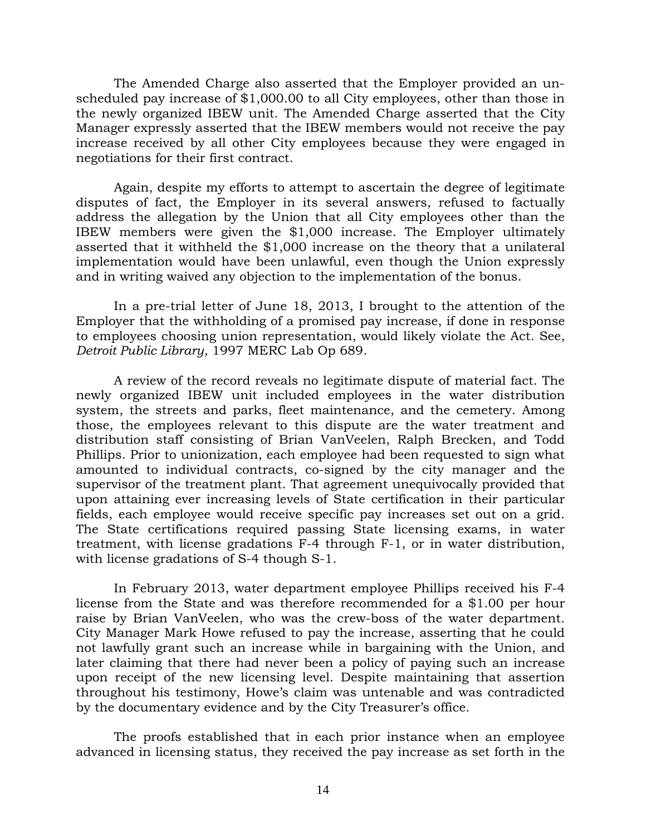The Amended Charge also asserted that the Employer provided an unscheduled pay increase of \$1,000.00 to all City employees, other than those in the newly organized IBEW unit. The Amended Charge asserted that the City Manager expressly asserted that the IBEW members would not receive the pay increase received by all other City employees because they were engaged in negotiations for their first contract.

Again, despite my efforts to attempt to ascertain the degree of legitimate disputes of fact, the Employer in its several answers, refused to factually address the allegation by the Union that all City employees other than the IBEW members were given the \$1,000 increase. The Employer ultimately asserted that it withheld the \$1,000 increase on the theory that a unilateral implementation would have been unlawful, even though the Union expressly and in writing waived any objection to the implementation of the bonus.

In a pre-trial letter of June 18, 2013, I brought to the attention of the Employer that the withholding of a promised pay increase, if done in response to employees choosing union representation, would likely violate the Act. See, *Detroit Public Library*, 1997 MERC Lab Op 689.

A review of the record reveals no legitimate dispute of material fact. The newly organized IBEW unit included employees in the water distribution system, the streets and parks, fleet maintenance, and the cemetery. Among those, the employees relevant to this dispute are the water treatment and distribution staff consisting of Brian VanVeelen, Ralph Brecken, and Todd Phillips. Prior to unionization, each employee had been requested to sign what amounted to individual contracts, co-signed by the city manager and the supervisor of the treatment plant. That agreement unequivocally provided that upon attaining ever increasing levels of State certification in their particular fields, each employee would receive specific pay increases set out on a grid. The State certifications required passing State licensing exams, in water treatment, with license gradations F-4 through F-1, or in water distribution, with license gradations of S-4 though S-1.

In February 2013, water department employee Phillips received his F-4 license from the State and was therefore recommended for a \$1.00 per hour raise by Brian VanVeelen, who was the crew-boss of the water department. City Manager Mark Howe refused to pay the increase, asserting that he could not lawfully grant such an increase while in bargaining with the Union, and later claiming that there had never been a policy of paying such an increase upon receipt of the new licensing level. Despite maintaining that assertion throughout his testimony, Howe's claim was untenable and was contradicted by the documentary evidence and by the City Treasurer's office.

The proofs established that in each prior instance when an employee advanced in licensing status, they received the pay increase as set forth in the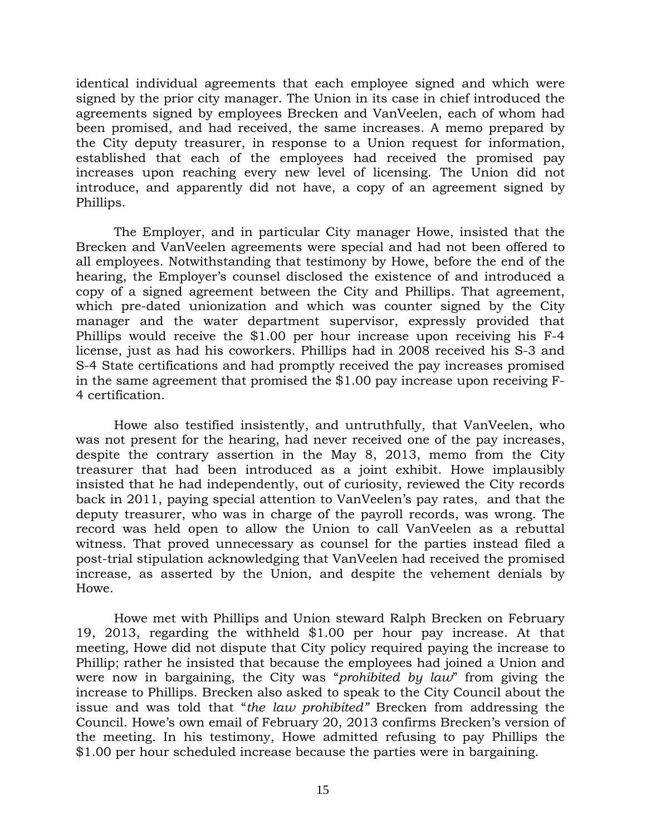identical individual agreements that each employee signed and which were signed by the prior city manager. The Union in its case in chief introduced the agreements signed by employees Brecken and VanVeelen, each of whom had been promised, and had received, the same increases. A memo prepared by the City deputy treasurer, in response to a Union request for information, established that each of the employees had received the promised pay increases upon reaching every new level of licensing. The Union did not introduce, and apparently did not have, a copy of an agreement signed by Phillips.

The Employer, and in particular City manager Howe, insisted that the Brecken and VanVeelen agreements were special and had not been offered to all employees. Notwithstanding that testimony by Howe, before the end of the hearing, the Employer's counsel disclosed the existence of and introduced a copy of a signed agreement between the City and Phillips. That agreement, which pre-dated unionization and which was counter signed by the City manager and the water department supervisor, expressly provided that Phillips would receive the \$1.00 per hour increase upon receiving his F-4 license, just as had his coworkers. Phillips had in 2008 received his S-3 and S-4 State certifications and had promptly received the pay increases promised in the same agreement that promised the \$1.00 pay increase upon receiving F-4 certification.

Howe also testified insistently, and untruthfully, that VanVeelen, who was not present for the hearing, had never received one of the pay increases, despite the contrary assertion in the May 8, 2013, memo from the City treasurer that had been introduced as a joint exhibit. Howe implausibly insisted that he had independently, out of curiosity, reviewed the City records back in 2011, paying special attention to VanVeelen's pay rates, and that the deputy treasurer, who was in charge of the payroll records, was wrong. The record was held open to allow the Union to call VanVeelen as a rebuttal witness. That proved unnecessary as counsel for the parties instead filed a post-trial stipulation acknowledging that VanVeelen had received the promised increase, as asserted by the Union, and despite the vehement denials by Howe.

Howe met with Phillips and Union steward Ralph Brecken on February 19, 2013, regarding the withheld \$1.00 per hour pay increase. At that meeting, Howe did not dispute that City policy required paying the increase to Phillip; rather he insisted that because the employees had joined a Union and were now in bargaining, the City was "*prohibited by law*" from giving the increase to Phillips. Brecken also asked to speak to the City Council about the issue and was told that "*the law prohibited"* Brecken from addressing the Council. Howe's own email of February 20, 2013 confirms Brecken's version of the meeting. In his testimony, Howe admitted refusing to pay Phillips the \$1.00 per hour scheduled increase because the parties were in bargaining.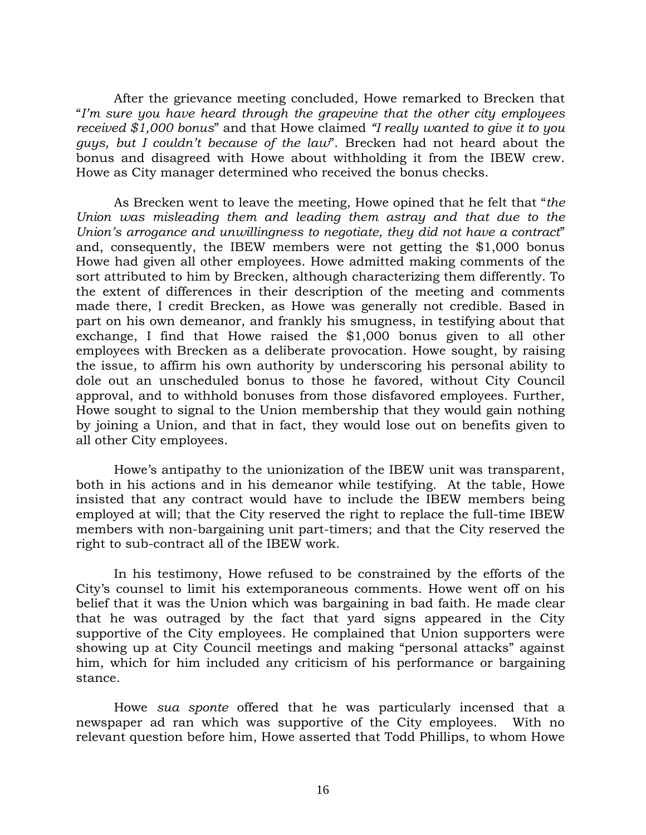After the grievance meeting concluded, Howe remarked to Brecken that "*I'm sure you have heard through the grapevine that the other city employees received \$1,000 bonus*" and that Howe claimed *"I really wanted to give it to you guys, but I couldn't because of the law*". Brecken had not heard about the bonus and disagreed with Howe about withholding it from the IBEW crew. Howe as City manager determined who received the bonus checks.

As Brecken went to leave the meeting, Howe opined that he felt that "*the Union was misleading them and leading them astray and that due to the Union's arrogance and unwillingness to negotiate, they did not have a contract*" and, consequently, the IBEW members were not getting the \$1,000 bonus Howe had given all other employees. Howe admitted making comments of the sort attributed to him by Brecken, although characterizing them differently. To the extent of differences in their description of the meeting and comments made there, I credit Brecken, as Howe was generally not credible. Based in part on his own demeanor, and frankly his smugness, in testifying about that exchange, I find that Howe raised the \$1,000 bonus given to all other employees with Brecken as a deliberate provocation. Howe sought, by raising the issue, to affirm his own authority by underscoring his personal ability to dole out an unscheduled bonus to those he favored, without City Council approval, and to withhold bonuses from those disfavored employees. Further, Howe sought to signal to the Union membership that they would gain nothing by joining a Union, and that in fact, they would lose out on benefits given to all other City employees.

Howe's antipathy to the unionization of the IBEW unit was transparent, both in his actions and in his demeanor while testifying. At the table, Howe insisted that any contract would have to include the IBEW members being employed at will; that the City reserved the right to replace the full-time IBEW members with non-bargaining unit part-timers; and that the City reserved the right to sub-contract all of the IBEW work.

In his testimony, Howe refused to be constrained by the efforts of the City's counsel to limit his extemporaneous comments. Howe went off on his belief that it was the Union which was bargaining in bad faith. He made clear that he was outraged by the fact that yard signs appeared in the City supportive of the City employees. He complained that Union supporters were showing up at City Council meetings and making "personal attacks" against him, which for him included any criticism of his performance or bargaining stance.

Howe *sua sponte* offered that he was particularly incensed that a newspaper ad ran which was supportive of the City employees. With no relevant question before him, Howe asserted that Todd Phillips, to whom Howe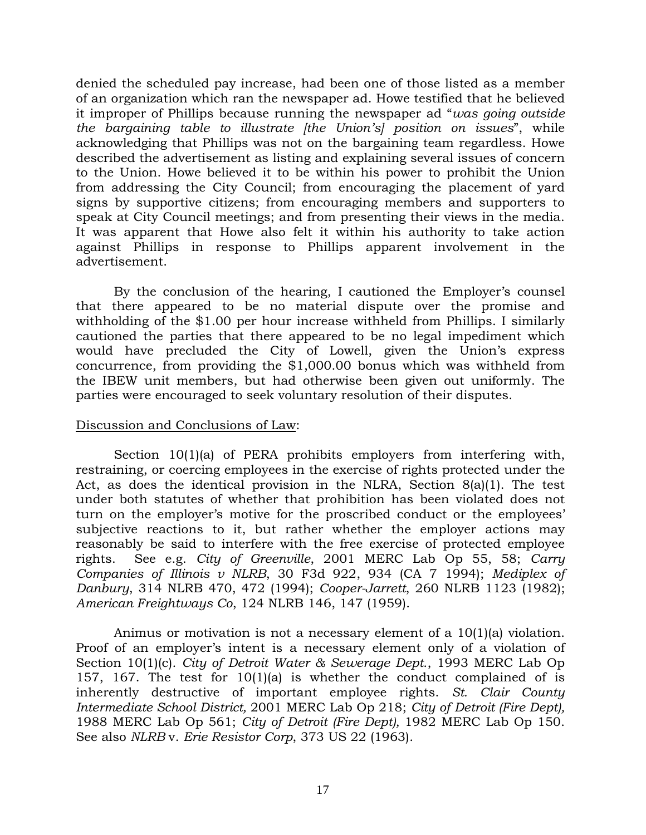denied the scheduled pay increase, had been one of those listed as a member of an organization which ran the newspaper ad. Howe testified that he believed it improper of Phillips because running the newspaper ad "*was going outside the bargaining table to illustrate [the Union's] position on issues*", while acknowledging that Phillips was not on the bargaining team regardless. Howe described the advertisement as listing and explaining several issues of concern to the Union. Howe believed it to be within his power to prohibit the Union from addressing the City Council; from encouraging the placement of yard signs by supportive citizens; from encouraging members and supporters to speak at City Council meetings; and from presenting their views in the media. It was apparent that Howe also felt it within his authority to take action against Phillips in response to Phillips apparent involvement in the advertisement.

By the conclusion of the hearing, I cautioned the Employer's counsel that there appeared to be no material dispute over the promise and withholding of the \$1.00 per hour increase withheld from Phillips. I similarly cautioned the parties that there appeared to be no legal impediment which would have precluded the City of Lowell, given the Union's express concurrence, from providing the \$1,000.00 bonus which was withheld from the IBEW unit members, but had otherwise been given out uniformly. The parties were encouraged to seek voluntary resolution of their disputes.

### Discussion and Conclusions of Law:

Section 10(1)(a) of PERA prohibits employers from interfering with, restraining, or coercing employees in the exercise of rights protected under the Act, as does the identical provision in the NLRA, Section 8(a)(1). The test under both statutes of whether that prohibition has been violated does not turn on the employer's motive for the proscribed conduct or the employees' subjective reactions to it, but rather whether the employer actions may reasonably be said to interfere with the free exercise of protected employee rights. See e.g. *City of Greenville*, 2001 MERC Lab Op 55, 58; *Carry Companies of Illinois v NLRB*, 30 F3d 922, 934 (CA 7 1994); *Mediplex of Danbury*, 314 NLRB 470, 472 (1994); *Cooper-Jarrett*, 260 NLRB 1123 (1982); *American Freightways Co*, 124 NLRB 146, 147 (1959).

Animus or motivation is not a necessary element of a 10(1)(a) violation. Proof of an employer's intent is a necessary element only of a violation of Section 10(1)(c). *City of Detroit Water & Sewerage Dept*., 1993 MERC Lab Op 157, 167. The test for 10(1)(a) is whether the conduct complained of is inherently destructive of important employee rights. *St. Clair County Intermediate School District,* 2001 MERC Lab Op 218; *City of Detroit (Fire Dept),*  1988 MERC Lab Op 561; *City of Detroit (Fire Dept),* 1982 MERC Lab Op 150. See also *NLRB* v. *Erie Resistor Corp*, 373 US 22 (1963).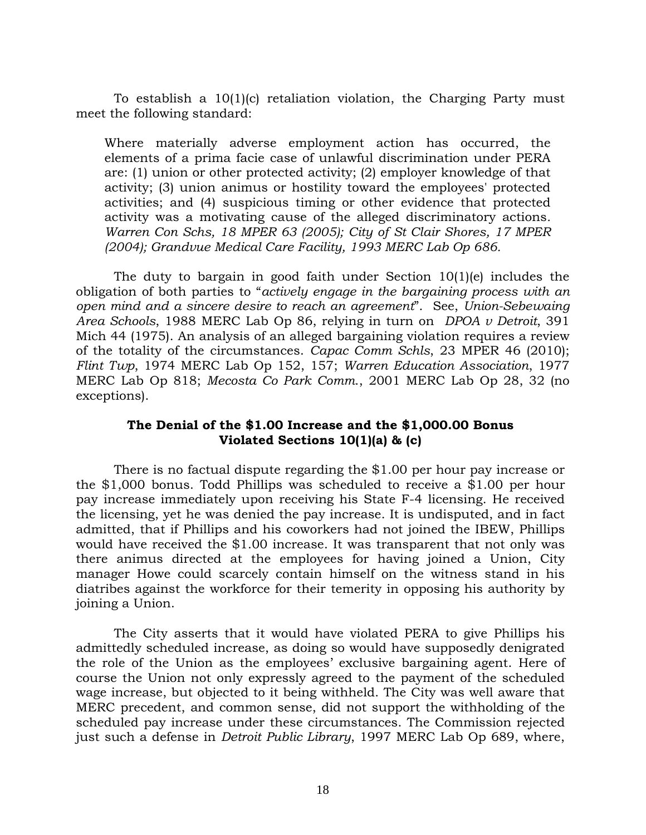To establish a 10(1)(c) retaliation violation, the Charging Party must meet the following standard:

Where materially adverse employment action has occurred, the elements of a prima facie case of unlawful discrimination under PERA are: (1) union or other protected activity; (2) employer knowledge of that activity; (3) union animus or hostility toward the employees' protected activities; and (4) suspicious timing or other evidence that protected activity was a motivating cause of the alleged discriminatory actions*. Warren Con Schs, 18 MPER 63 (2005); City of St Clair Shores, 17 MPER (2004); Grandvue Medical Care Facility, 1993 MERC Lab Op 686.* 

The duty to bargain in good faith under Section 10(1)(e) includes the obligation of both parties to "*actively engage in the bargaining process with an open mind and a sincere desire to reach an agreement*". See, *Union-Sebewaing Area Schools*, 1988 MERC Lab Op 86, relying in turn on *DPOA v Detroit*, 391 Mich 44 (1975). An analysis of an alleged bargaining violation requires a review of the totality of the circumstances. *Capac Comm Schls*, 23 MPER 46 (2010); *Flint Twp*, 1974 MERC Lab Op 152, 157; *Warren Education Association*, 1977 MERC Lab Op 818; *Mecosta Co Park Comm*., 2001 MERC Lab Op 28, 32 (no exceptions).

## **The Denial of the \$1.00 Increase and the \$1,000.00 Bonus Violated Sections 10(1)(a) & (c)**

There is no factual dispute regarding the \$1.00 per hour pay increase or the \$1,000 bonus. Todd Phillips was scheduled to receive a \$1.00 per hour pay increase immediately upon receiving his State F-4 licensing. He received the licensing, yet he was denied the pay increase. It is undisputed, and in fact admitted, that if Phillips and his coworkers had not joined the IBEW, Phillips would have received the \$1.00 increase. It was transparent that not only was there animus directed at the employees for having joined a Union, City manager Howe could scarcely contain himself on the witness stand in his diatribes against the workforce for their temerity in opposing his authority by joining a Union.

The City asserts that it would have violated PERA to give Phillips his admittedly scheduled increase, as doing so would have supposedly denigrated the role of the Union as the employees' exclusive bargaining agent. Here of course the Union not only expressly agreed to the payment of the scheduled wage increase, but objected to it being withheld. The City was well aware that MERC precedent, and common sense, did not support the withholding of the scheduled pay increase under these circumstances. The Commission rejected just such a defense in *Detroit Public Library*, 1997 MERC Lab Op 689, where,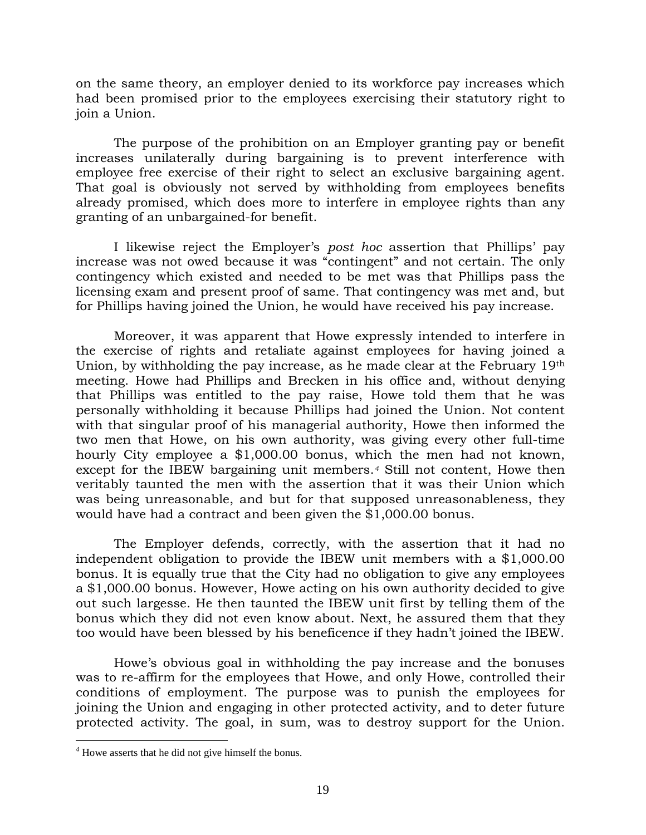on the same theory, an employer denied to its workforce pay increases which had been promised prior to the employees exercising their statutory right to join a Union.

The purpose of the prohibition on an Employer granting pay or benefit increases unilaterally during bargaining is to prevent interference with employee free exercise of their right to select an exclusive bargaining agent. That goal is obviously not served by withholding from employees benefits already promised, which does more to interfere in employee rights than any granting of an unbargained-for benefit.

I likewise reject the Employer's *post hoc* assertion that Phillips' pay increase was not owed because it was "contingent" and not certain. The only contingency which existed and needed to be met was that Phillips pass the licensing exam and present proof of same. That contingency was met and, but for Phillips having joined the Union, he would have received his pay increase.

Moreover, it was apparent that Howe expressly intended to interfere in the exercise of rights and retaliate against employees for having joined a Union, by withholding the pay increase, as he made clear at the February 19th meeting. Howe had Phillips and Brecken in his office and, without denying that Phillips was entitled to the pay raise, Howe told them that he was personally withholding it because Phillips had joined the Union. Not content with that singular proof of his managerial authority, Howe then informed the two men that Howe, on his own authority, was giving every other full-time hourly City employee a \$1,000.00 bonus, which the men had not known, except for the IBEW bargaining unit members.*[4](#page-18-0)* Still not content, Howe then veritably taunted the men with the assertion that it was their Union which was being unreasonable, and but for that supposed unreasonableness, they would have had a contract and been given the \$1,000.00 bonus.

The Employer defends, correctly, with the assertion that it had no independent obligation to provide the IBEW unit members with a \$1,000.00 bonus. It is equally true that the City had no obligation to give any employees a \$1,000.00 bonus. However, Howe acting on his own authority decided to give out such largesse. He then taunted the IBEW unit first by telling them of the bonus which they did not even know about. Next, he assured them that they too would have been blessed by his beneficence if they hadn't joined the IBEW.

Howe's obvious goal in withholding the pay increase and the bonuses was to re-affirm for the employees that Howe, and only Howe, controlled their conditions of employment. The purpose was to punish the employees for joining the Union and engaging in other protected activity, and to deter future protected activity. The goal, in sum, was to destroy support for the Union.

 $\overline{a}$ 

<span id="page-18-0"></span>*<sup>4</sup>* Howe asserts that he did not give himself the bonus.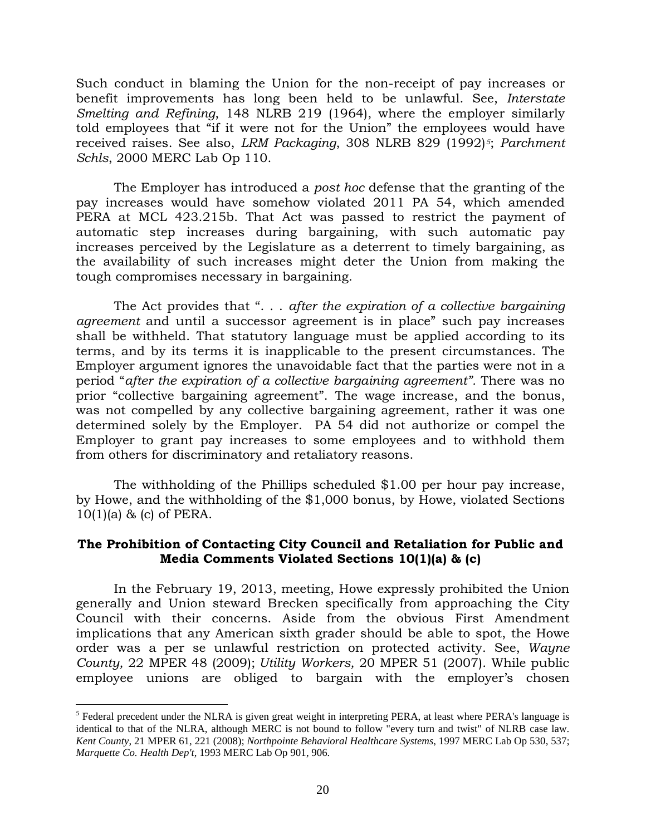Such conduct in blaming the Union for the non-receipt of pay increases or benefit improvements has long been held to be unlawful. See, *Interstate Smelting and Refining*, 148 NLRB 219 (1964), where the employer similarly told employees that "if it were not for the Union" the employees would have received raises. See also, *LRM Packaging*, 308 NLRB 829 (1992)*[5](#page-19-0)*; *Parchment Schls*, 2000 MERC Lab Op 110.

The Employer has introduced a *post hoc* defense that the granting of the pay increases would have somehow violated 2011 PA 54, which amended PERA at MCL 423.215b. That Act was passed to restrict the payment of automatic step increases during bargaining, with such automatic pay increases perceived by the Legislature as a deterrent to timely bargaining, as the availability of such increases might deter the Union from making the tough compromises necessary in bargaining.

The Act provides that ". . . *after the expiration of a collective bargaining agreement* and until a successor agreement is in place" such pay increases shall be withheld. That statutory language must be applied according to its terms, and by its terms it is inapplicable to the present circumstances. The Employer argument ignores the unavoidable fact that the parties were not in a period "*after the expiration of a collective bargaining agreement".* There was no prior "collective bargaining agreement". The wage increase, and the bonus, was not compelled by any collective bargaining agreement, rather it was one determined solely by the Employer. PA 54 did not authorize or compel the Employer to grant pay increases to some employees and to withhold them from others for discriminatory and retaliatory reasons.

The withholding of the Phillips scheduled \$1.00 per hour pay increase, by Howe, and the withholding of the \$1,000 bonus, by Howe, violated Sections  $10(1)(a)$  & (c) of PERA.

## **The Prohibition of Contacting City Council and Retaliation for Public and Media Comments Violated Sections 10(1)(a) & (c)**

In the February 19, 2013, meeting, Howe expressly prohibited the Union generally and Union steward Brecken specifically from approaching the City Council with their concerns. Aside from the obvious First Amendment implications that any American sixth grader should be able to spot, the Howe order was a per se unlawful restriction on protected activity. See, *Wayne County,* 22 MPER 48 (2009); *Utility Workers,* 20 MPER 51 (2007). While public employee unions are obliged to bargain with the employer's chosen

 $\overline{a}$ 

<span id="page-19-0"></span><sup>&</sup>lt;sup>5</sup> Federal precedent under the NLRA is given great weight in interpreting PERA, at least where PERA's language is identical to that of the NLRA, although MERC is not bound to follow "every turn and twist" of NLRB case law. *Kent County*, 21 MPER 61, 221 (2008); *Northpointe Behavioral Healthcare Systems*, 1997 MERC Lab Op 530, 537; *Marquette Co. Health Dep't*, 1993 MERC Lab Op 901, 906.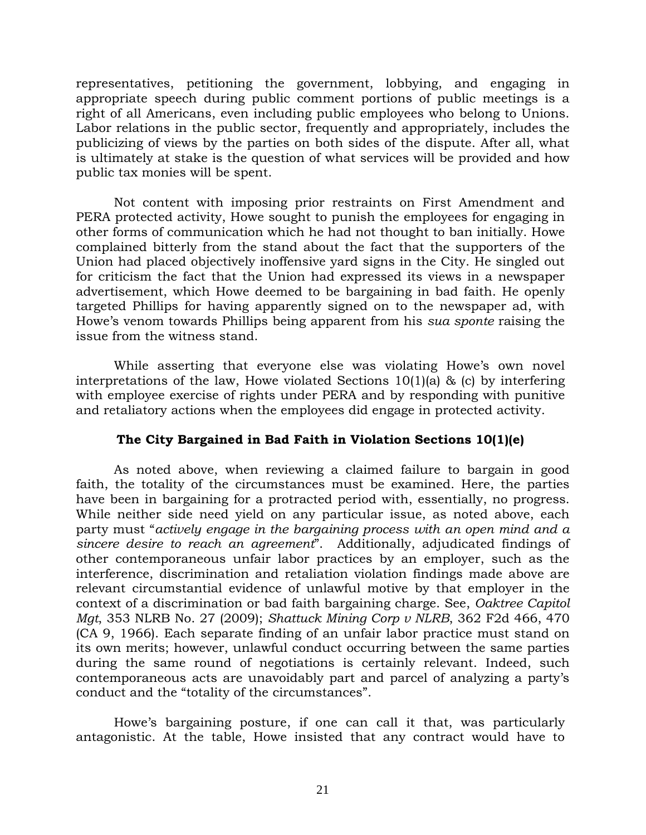representatives, petitioning the government, lobbying, and engaging in appropriate speech during public comment portions of public meetings is a right of all Americans, even including public employees who belong to Unions. Labor relations in the public sector, frequently and appropriately, includes the publicizing of views by the parties on both sides of the dispute. After all, what is ultimately at stake is the question of what services will be provided and how public tax monies will be spent.

Not content with imposing prior restraints on First Amendment and PERA protected activity, Howe sought to punish the employees for engaging in other forms of communication which he had not thought to ban initially. Howe complained bitterly from the stand about the fact that the supporters of the Union had placed objectively inoffensive yard signs in the City. He singled out for criticism the fact that the Union had expressed its views in a newspaper advertisement, which Howe deemed to be bargaining in bad faith. He openly targeted Phillips for having apparently signed on to the newspaper ad, with Howe's venom towards Phillips being apparent from his *sua sponte* raising the issue from the witness stand.

While asserting that everyone else was violating Howe's own novel interpretations of the law, Howe violated Sections 10(1)(a) & (c) by interfering with employee exercise of rights under PERA and by responding with punitive and retaliatory actions when the employees did engage in protected activity.

## **The City Bargained in Bad Faith in Violation Sections 10(1)(e)**

As noted above, when reviewing a claimed failure to bargain in good faith, the totality of the circumstances must be examined. Here, the parties have been in bargaining for a protracted period with, essentially, no progress. While neither side need yield on any particular issue, as noted above, each party must "*actively engage in the bargaining process with an open mind and a sincere desire to reach an agreement*". Additionally, adjudicated findings of other contemporaneous unfair labor practices by an employer, such as the interference, discrimination and retaliation violation findings made above are relevant circumstantial evidence of unlawful motive by that employer in the context of a discrimination or bad faith bargaining charge. See, *Oaktree Capitol Mgt*, 353 NLRB No. 27 (2009); *Shattuck Mining Corp v NLRB*, 362 F2d 466, 470 (CA 9, 1966). Each separate finding of an unfair labor practice must stand on its own merits; however, unlawful conduct occurring between the same parties during the same round of negotiations is certainly relevant. Indeed, such contemporaneous acts are unavoidably part and parcel of analyzing a party's conduct and the "totality of the circumstances".

Howe's bargaining posture, if one can call it that, was particularly antagonistic. At the table, Howe insisted that any contract would have to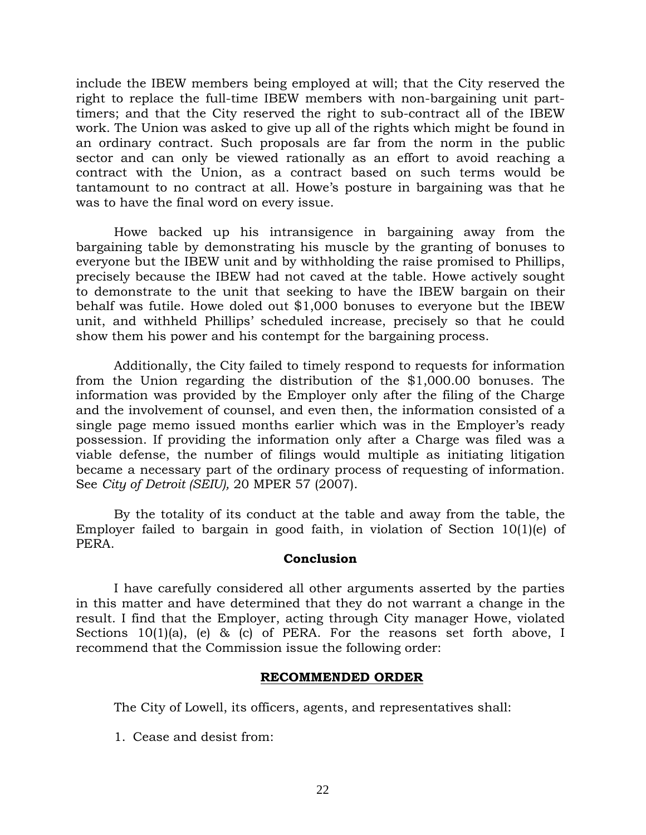include the IBEW members being employed at will; that the City reserved the right to replace the full-time IBEW members with non-bargaining unit parttimers; and that the City reserved the right to sub-contract all of the IBEW work. The Union was asked to give up all of the rights which might be found in an ordinary contract. Such proposals are far from the norm in the public sector and can only be viewed rationally as an effort to avoid reaching a contract with the Union, as a contract based on such terms would be tantamount to no contract at all. Howe's posture in bargaining was that he was to have the final word on every issue.

Howe backed up his intransigence in bargaining away from the bargaining table by demonstrating his muscle by the granting of bonuses to everyone but the IBEW unit and by withholding the raise promised to Phillips, precisely because the IBEW had not caved at the table. Howe actively sought to demonstrate to the unit that seeking to have the IBEW bargain on their behalf was futile. Howe doled out \$1,000 bonuses to everyone but the IBEW unit, and withheld Phillips' scheduled increase, precisely so that he could show them his power and his contempt for the bargaining process.

Additionally, the City failed to timely respond to requests for information from the Union regarding the distribution of the \$1,000.00 bonuses. The information was provided by the Employer only after the filing of the Charge and the involvement of counsel, and even then, the information consisted of a single page memo issued months earlier which was in the Employer's ready possession. If providing the information only after a Charge was filed was a viable defense, the number of filings would multiple as initiating litigation became a necessary part of the ordinary process of requesting of information. See *City of Detroit (SEIU),* 20 MPER 57 (2007).

By the totality of its conduct at the table and away from the table, the Employer failed to bargain in good faith, in violation of Section 10(1)(e) of PERA.

### **Conclusion**

I have carefully considered all other arguments asserted by the parties in this matter and have determined that they do not warrant a change in the result. I find that the Employer, acting through City manager Howe, violated Sections 10(1)(a), (e) & (c) of PERA. For the reasons set forth above, I recommend that the Commission issue the following order:

#### **RECOMMENDED ORDER**

The City of Lowell, its officers, agents, and representatives shall:

1. Cease and desist from: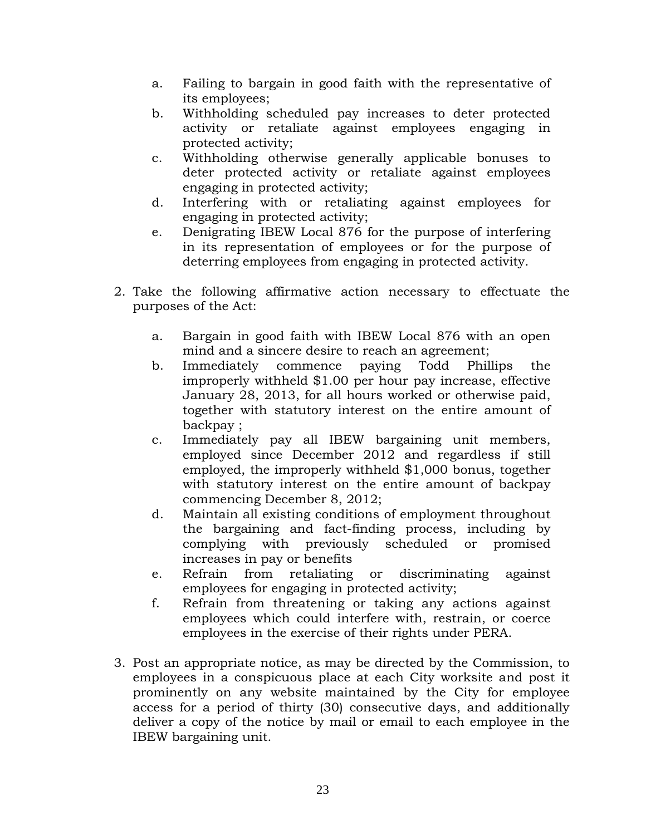- a. Failing to bargain in good faith with the representative of its employees;
- b. Withholding scheduled pay increases to deter protected activity or retaliate against employees engaging in protected activity;
- c. Withholding otherwise generally applicable bonuses to deter protected activity or retaliate against employees engaging in protected activity;
- d. Interfering with or retaliating against employees for engaging in protected activity;
- e. Denigrating IBEW Local 876 for the purpose of interfering in its representation of employees or for the purpose of deterring employees from engaging in protected activity.
- 2. Take the following affirmative action necessary to effectuate the purposes of the Act:
	- a. Bargain in good faith with IBEW Local 876 with an open mind and a sincere desire to reach an agreement;
	- b. Immediately commence paying Todd Phillips the improperly withheld \$1.00 per hour pay increase, effective January 28, 2013, for all hours worked or otherwise paid, together with statutory interest on the entire amount of backpay ;
	- c. Immediately pay all IBEW bargaining unit members, employed since December 2012 and regardless if still employed, the improperly withheld \$1,000 bonus, together with statutory interest on the entire amount of backpay commencing December 8, 2012;
	- d. Maintain all existing conditions of employment throughout the bargaining and fact-finding process, including by complying with previously scheduled or promised increases in pay or benefits
	- e. Refrain from retaliating or discriminating against employees for engaging in protected activity;
	- f. Refrain from threatening or taking any actions against employees which could interfere with, restrain, or coerce employees in the exercise of their rights under PERA.
- 3. Post an appropriate notice, as may be directed by the Commission, to employees in a conspicuous place at each City worksite and post it prominently on any website maintained by the City for employee access for a period of thirty (30) consecutive days, and additionally deliver a copy of the notice by mail or email to each employee in the IBEW bargaining unit.